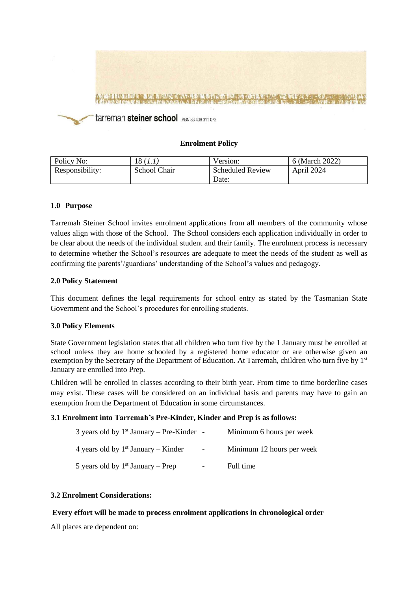

# **Enrolment Policy**

| Policy No:      | 18 (1.1      | Version:                | 6 (March 2022) |
|-----------------|--------------|-------------------------|----------------|
| Responsibility: | School Chair | <b>Scheduled Review</b> | April 2024     |
|                 |              | Date:                   |                |

#### **1.0 Purpose**

Tarremah Steiner School invites enrolment applications from all members of the community whose values align with those of the School. The School considers each application individually in order to be clear about the needs of the individual student and their family. The enrolment process is necessary to determine whether the School's resources are adequate to meet the needs of the student as well as confirming the parents'/guardians' understanding of the School's values and pedagogy.

#### **2.0 Policy Statement**

This document defines the legal requirements for school entry as stated by the Tasmanian State Government and the School's procedures for enrolling students.

#### **3.0 Policy Elements**

State Government legislation states that all children who turn five by the 1 January must be enrolled at school unless they are home schooled by a registered home educator or are otherwise given an exemption by the Secretary of the Department of Education. At Tarremah, children who turn five by 1<sup>st</sup> January are enrolled into Prep.

Children will be enrolled in classes according to their birth year. From time to time borderline cases may exist. These cases will be considered on an individual basis and parents may have to gain an exemption from the Department of Education in some circumstances.

#### **3.1 Enrolment into Tarremah's Pre-Kinder, Kinder and Prep is as follows:**

| 3 years old by $1^{st}$ January – Pre-Kinder – |                          | Minimum 6 hours per week  |
|------------------------------------------------|--------------------------|---------------------------|
| 4 years old by $1st$ January – Kinder          | $\sim$ 100 $\mu$         | Minimum 12 hours per week |
| 5 years old by $1st$ January – Prep            | $\overline{\phantom{0}}$ | Full time                 |

#### **3.2 Enrolment Considerations:**

#### **Every effort will be made to process enrolment applications in chronological order**

All places are dependent on: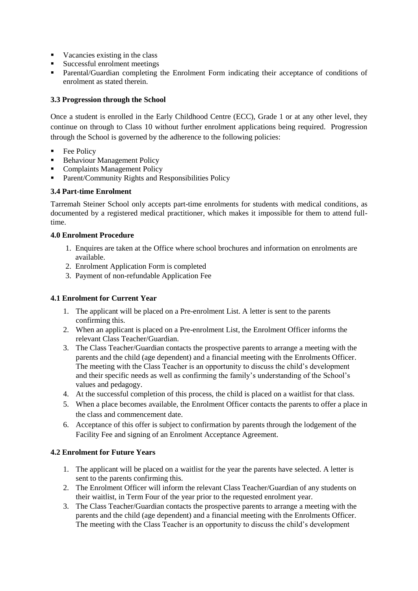- vacancies existing in the class
- **Successful enrolment meetings**
- Parental/Guardian completing the Enrolment Form indicating their acceptance of conditions of enrolment as stated therein.

# **3.3 Progression through the School**

Once a student is enrolled in the Early Childhood Centre (ECC), Grade 1 or at any other level, they continue on through to Class 10 without further enrolment applications being required. Progression through the School is governed by the adherence to the following policies:

- **Fee Policy**
- **Behaviour Management Policy**
- Complaints Management Policy
- **Parent/Community Rights and Responsibilities Policy**

### **3.4 Part-time Enrolment**

Tarremah Steiner School only accepts part-time enrolments for students with medical conditions, as documented by a registered medical practitioner, which makes it impossible for them to attend fulltime.

#### **4.0 Enrolment Procedure**

- 1. Enquires are taken at the Office where school brochures and information on enrolments are available.
- 2. Enrolment Application Form is completed
- 3. Payment of non-refundable Application Fee

# **4.1 Enrolment for Current Year**

- 1. The applicant will be placed on a Pre-enrolment List. A letter is sent to the parents confirming this.
- 2. When an applicant is placed on a Pre-enrolment List, the Enrolment Officer informs the relevant Class Teacher/Guardian.
- 3. The Class Teacher/Guardian contacts the prospective parents to arrange a meeting with the parents and the child (age dependent) and a financial meeting with the Enrolments Officer. The meeting with the Class Teacher is an opportunity to discuss the child's development and their specific needs as well as confirming the family's understanding of the School's values and pedagogy.
- 4. At the successful completion of this process, the child is placed on a waitlist for that class.
- 5. When a place becomes available, the Enrolment Officer contacts the parents to offer a place in the class and commencement date.
- 6. Acceptance of this offer is subject to confirmation by parents through the lodgement of the Facility Fee and signing of an Enrolment Acceptance Agreement.

#### **4.2 Enrolment for Future Years**

- 1. The applicant will be placed on a waitlist for the year the parents have selected. A letter is sent to the parents confirming this.
- 2. The Enrolment Officer will inform the relevant Class Teacher/Guardian of any students on their waitlist, in Term Four of the year prior to the requested enrolment year.
- 3. The Class Teacher/Guardian contacts the prospective parents to arrange a meeting with the parents and the child (age dependent) and a financial meeting with the Enrolments Officer. The meeting with the Class Teacher is an opportunity to discuss the child's development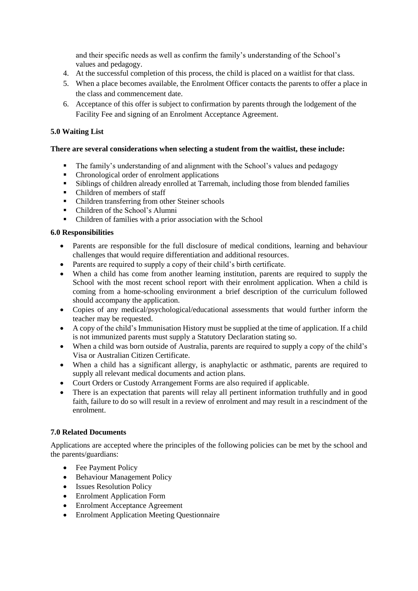and their specific needs as well as confirm the family's understanding of the School's values and pedagogy.

- 4. At the successful completion of this process, the child is placed on a waitlist for that class.
- 5. When a place becomes available, the Enrolment Officer contacts the parents to offer a place in the class and commencement date.
- 6. Acceptance of this offer is subject to confirmation by parents through the lodgement of the Facility Fee and signing of an Enrolment Acceptance Agreement.

# **5.0 Waiting List**

# **There are several considerations when selecting a student from the waitlist, these include:**

- The family's understanding of and alignment with the School's values and pedagogy
- Chronological order of enrolment applications<br>• Siblings of children already enrolled at Tarrem
- Siblings of children already enrolled at Tarremah, including those from blended families
- Children of members of staff
- Children transferring from other Steiner schools
- Children of the School's Alumni
- Children of families with a prior association with the School

### **6.0 Responsibilities**

- Parents are responsible for the full disclosure of medical conditions, learning and behaviour challenges that would require differentiation and additional resources.
- Parents are required to supply a copy of their child's birth certificate.
- When a child has come from another learning institution, parents are required to supply the School with the most recent school report with their enrolment application. When a child is coming from a home-schooling environment a brief description of the curriculum followed should accompany the application.
- Copies of any medical/psychological/educational assessments that would further inform the teacher may be requested.
- A copy of the child's Immunisation History must be supplied at the time of application. If a child is not immunized parents must supply a Statutory Declaration stating so.
- When a child was born outside of Australia, parents are required to supply a copy of the child's Visa or Australian Citizen Certificate.
- When a child has a significant allergy, is anaphylactic or asthmatic, parents are required to supply all relevant medical documents and action plans.
- Court Orders or Custody Arrangement Forms are also required if applicable.
- There is an expectation that parents will relay all pertinent information truthfully and in good faith, failure to do so will result in a review of enrolment and may result in a rescindment of the enrolment.

# **7.0 Related Documents**

Applications are accepted where the principles of the following policies can be met by the school and the parents/guardians:

- Fee Payment Policy
- Behaviour Management Policy
- Issues Resolution Policy
- Enrolment Application Form
- Enrolment Acceptance Agreement
- Enrolment Application Meeting Questionnaire